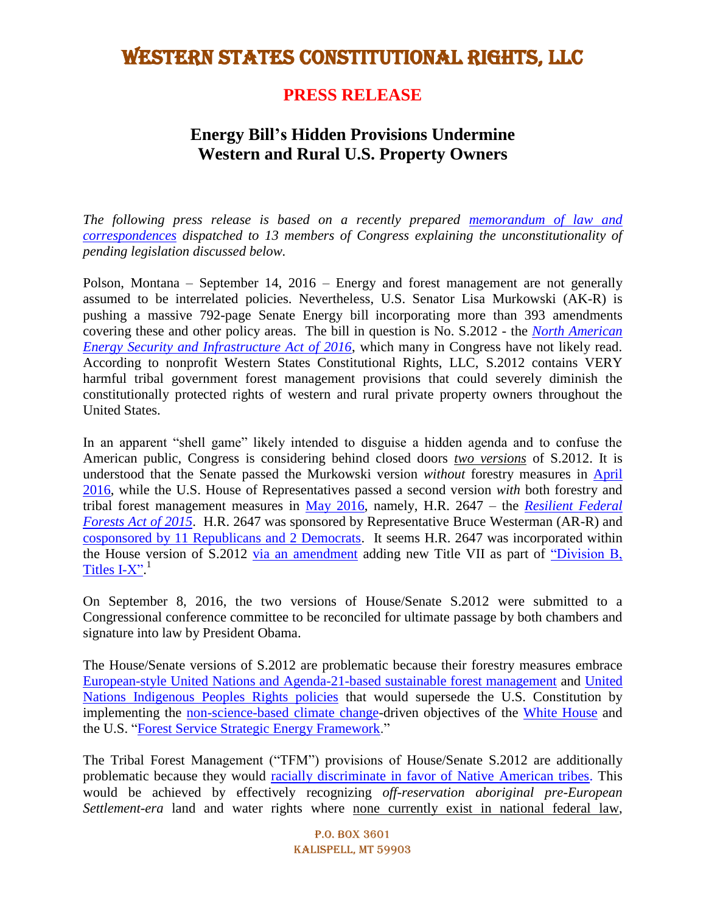#### **PRESS RELEASE**

#### **Energy Bill's Hidden Provisions Undermine Western and Rural U.S. Property Owners**

*The following press release is based on a recently prepared [memorandum of law and](http://www.koganlawgroup.com/uploads/The_Unconstitutionality_of_S.3013__S.3014__H.R.2647__S.3085.pdf)  [correspondences](http://www.koganlawgroup.com/uploads/The_Unconstitutionality_of_S.3013__S.3014__H.R.2647__S.3085.pdf) dispatched to 13 members of Congress explaining the unconstitutionality of pending legislation discussed below.*

Polson, Montana – September 14, 2016 – Energy and forest management are not generally assumed to be interrelated policies. Nevertheless, U.S. Senator Lisa Murkowski (AK-R) is pushing a massive 792-page Senate Energy bill incorporating more than 393 amendments covering these and other policy areas. The bill in question is No. S.2012 - the *[North American](https://www.congress.gov/bill/114th-congress/senate-bill/2012/actions)  [Energy Security and Infrastructure Act of 2016](https://www.congress.gov/bill/114th-congress/senate-bill/2012/actions)*, which many in Congress have not likely read. According to nonprofit Western States Constitutional Rights, LLC, S.2012 contains VERY harmful tribal government forest management provisions that could severely diminish the constitutionally protected rights of western and rural private property owners throughout the United States.

In an apparent "shell game" likely intended to disguise a hidden agenda and to confuse the American public, Congress is considering behind closed doors *two versions* of S.2012. It is understood that the Senate passed the Murkowski version *without* forestry measures in [April](http://www.senate.gov/legislative/LIS/roll_call_lists/roll_call_vote_cfm.cfm?congress=114&session=2&vote=00054)  [2016,](http://www.senate.gov/legislative/LIS/roll_call_lists/roll_call_vote_cfm.cfm?congress=114&session=2&vote=00054) while the U.S. House of Representatives passed a second version *with* both forestry and tribal forest management measures in [May 2016,](http://clerk.house.gov/evs/2016/roll250.xml) namely, H.R. 2647 – the *[Resilient Federal](https://www.congress.gov/114/bills/hr2647/BILLS-114hr2647rfs.pdf)  [Forests Act of 2015](https://www.congress.gov/114/bills/hr2647/BILLS-114hr2647rfs.pdf)*. H.R. 2647 was sponsored by Representative Bruce Westerman (AR-R) and [cosponsored by 11 Republicans and 2 Democrats.](https://www.congress.gov/bill/114th-congress/house-bill/2647/cosponsors) It seems H.R. 2647 was incorporated within the House version of S.2012 [via an amendment](https://rules.house.gov/sites/republicans.rules.house.gov/files/114/PDF/114-S2012-RCPSumm.pdf) adding new Title VII as part of ["Division B,](http://docs.house.gov/billsthisweek/20160523/CPRT-114-HPRT-RU00-S2012.pdf)  [Titles I-X".](http://docs.house.gov/billsthisweek/20160523/CPRT-114-HPRT-RU00-S2012.pdf)<sup>1</sup>

On September 8, 2016, the two versions of House/Senate S.2012 were submitted to a Congressional conference committee to be reconciled for ultimate passage by both chambers and signature into law by President Obama.

The House/Senate versions of S.2012 are problematic because their forestry measures embrace [European-style United Nations and Agenda-21-based sustainable forest management](https://nebula.wsimg.com/c2d8337790ff684bd31b029c30b1b6dc?AccessKeyId=39A2DC689E4CA87C906D&disposition=0&alloworigin=1) and [United](http://www.un.org/esa/socdev/unpfii/documents/DRIPS_en.pdf)  Nations [Indigenous Peoples Rights policies](http://www.un.org/esa/socdev/unpfii/documents/DRIPS_en.pdf) that would supersede the U.S. Constitution by implementing the [non-science-based](http://www.forbes.com/sites/realspin/2015/03/27/when-it-comes-to-climate-policies-trust-but-verify/#1c7de48c15d5) climate change-driven objectives of the [White House](https://www.whitehouse.gov/the-press-office/2015/03/19/executive-order-planning-federal-sustainability-next-decade) and the U.S. ["Forest Service Strategic Energy Framework.](http://www.fs.fed.us/specialuses/documents/Signed_StrategicEnergy_Framework_01_14_11.pdf)"

The Tribal Forest Management ("TFM") provisions of House/Senate S.2012 are additionally problematic because they would [racially discriminate in favor of Native American tribes.](http://www.koganlawgroup.com/uploads/EXHIBIT_66_-_BIA_MEMO_INDIAN_PREFERENCES__1973_.pdf) This would be achieved by effectively recognizing *off-reservation aboriginal pre-European Settlement-era* land and water rights where none currently exist in national federal law,

> P.O. Box 3601 Kalispell, MT 59903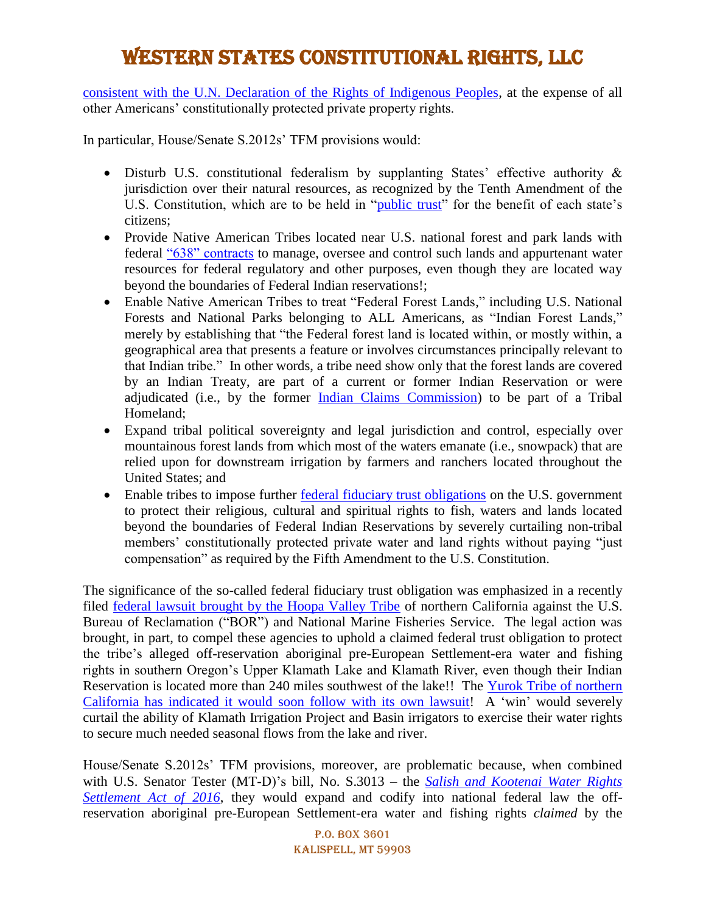consistent with the U.N. [Declaration of the Rights of Indigenous Peoples,](http://www.state.gov/r/pa/prs/ps/2010/12/153027.htm) at the expense of all other Americans' constitutionally protected private property rights.

In particular, House/Senate S.2012s' TFM provisions would:

- Disturb U.S. constitutional federalism by supplanting States' effective authority & jurisdiction over their natural resources, as recognized by the Tenth Amendment of the U.S. Constitution, which are to be held in ["public trust"](http://digitalcommons.law.utulsa.edu/cgi/viewcontent.cgi?article=2439&context=tlr) for the benefit of each state's citizens;
- Provide Native American Tribes located near U.S. national forest and park lands with federal ["638" contracts](http://www.bia.gov/cs/groups/mywcsp/documents/collection/idc017334.pdf) to manage, oversee and control such lands and appurtenant water resources for federal regulatory and other purposes, even though they are located way beyond the boundaries of Federal Indian reservations!;
- Enable Native American Tribes to treat "Federal Forest Lands," including U.S. National Forests and National Parks belonging to ALL Americans, as "Indian Forest Lands," merely by establishing that "the Federal forest land is located within, or mostly within, a geographical area that presents a feature or involves circumstances principally relevant to that Indian tribe." In other words, a tribe need show only that the forest lands are covered by an Indian Treaty, are part of a current or former Indian Reservation or were adjudicated (i.e., by the former [Indian Claims Commission\)](http://digital.library.okstate.edu/icc/) to be part of a Tribal Homeland;
- Expand tribal political sovereignty and legal jurisdiction and control, especially over mountainous forest lands from which most of the waters emanate (i.e., snowpack) that are relied upon for downstream irrigation by farmers and ranchers located throughout the United States; and
- Enable tribes to impose further [federal fiduciary trust obligations](https://www.doi.gov/sites/doi.gov/files/migrated/cobell/commission/upload/6-1-AmIndianPolicyComm_FinRpt_Chp-4-Trust-Responsibility_May1977.pdf) on the U.S. government to protect their religious, cultural and spiritual rights to fish, waters and lands located beyond the boundaries of Federal Indian Reservations by severely curtailing non-tribal members' constitutionally protected private water and land rights without paying "just compensation" as required by the Fifth Amendment to the U.S. Constitution.

The significance of the so-called federal fiduciary trust obligation was emphasized in a recently filed [federal lawsuit brought by the Hoopa Valley Tribe](http://www.schlosserlawfiles.com/~hoopa/16-4294ComplaintDoc1.pdf) of northern California against the U.S. Bureau of Reclamation ("BOR") and National Marine Fisheries Service. The legal action was brought, in part, to compel these agencies to uphold a claimed federal trust obligation to protect the tribe's alleged off-reservation aboriginal pre-European Settlement-era water and fishing rights in southern Oregon's Upper Klamath Lake and Klamath River, even though their Indian Reservation is located more than 240 miles southwest of the lake!! The [Yurok Tribe of northern](http://www.koganlawgroup.com/uploads/06_24_2016_Yurok_NOI.pdf)  [California has indicated it would soon follow with its own lawsuit!](http://www.koganlawgroup.com/uploads/06_24_2016_Yurok_NOI.pdf) A 'win' would severely curtail the ability of Klamath Irrigation Project and Basin irrigators to exercise their water rights to secure much needed seasonal flows from the lake and river.

House/Senate S.2012s' TFM provisions, moreover, are problematic because, when combined with U.S. Senator Tester (MT-D)'s bill, No. S.3013 – the *[Salish and Kootenai Water Rights](https://www.govtrack.us/congress/bills/114/s3013) [Settlement Act of 2016](https://www.govtrack.us/congress/bills/114/s3013)*, they would expand and codify into national federal law the offreservation aboriginal pre-European Settlement-era water and fishing rights *claimed* by the

> P.O. Box 3601 Kalispell, MT 59903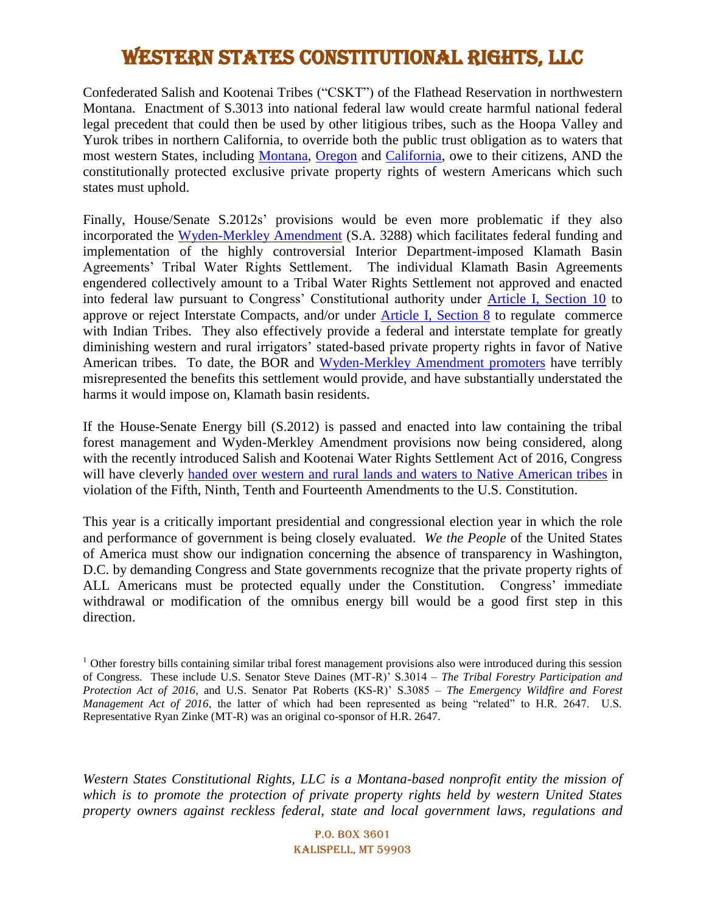Confederated Salish and Kootenai Tribes ("CSKT") of the Flathead Reservation in northwestern Montana. Enactment of S.3013 into national federal law would create harmful national federal legal precedent that could then be used by other litigious tribes, such as the Hoopa Valley and Yurok tribes in northern California, to override both the public trust obligation as to waters that most western States, including [Montana,](http://caselaw.findlaw.com/mt-supreme-court/1655176.html) [Oregon](https://law.lclark.edu/live/files/11170-421blummpdf) and [California,](http://www.slc.ca.gov/About/Public_Trust.html) owe to their citizens, AND the constitutionally protected exclusive private property rights of western Americans which such states must uphold.

Finally, House/Senate S.2012s' provisions would be even more problematic if they also incorporated the [Wyden-Merkley Amendment](http://www.koganlawgroup.com/uploads/Merkley-Wyden_Bill_Linking_Approval_of_Amended_KHSA__BOR_C_Flume_Financing__Tribal_Water_Rights___Lower_Cost_Pow.pdf) (S.A. 3288) which facilitates federal funding and implementation of the highly controversial Interior Department-imposed Klamath Basin Agreements' Tribal Water Rights Settlement. The individual Klamath Basin Agreements engendered collectively amount to a Tribal Water Rights Settlement not approved and enacted into federal law pursuant to Congress' Constitutional authority under [Article I, Section 10](http://constitutioncenter.org/interactive-constitution/articles/article-i#section-10) to approve or reject Interstate Compacts, and/or under [Article I, Section 8](http://constitutioncenter.org/interactive-constitution/articles/article-i#section-8) to regulate commerce with Indian Tribes. They also effectively provide a federal and interstate template for greatly diminishing western and rural irrigators' stated-based private property rights in favor of Native American tribes. To date, the BOR and [Wyden-Merkley Amendment promoters](http://canadafreepress.com/article/white-house-as-originator-and-promoter-of-klamath-basin-agreements) have terribly misrepresented the benefits this settlement would provide, and have substantially understated the harms it would impose on, Klamath basin residents.

If the House-Senate Energy bill (S.2012) is passed and enacted into law containing the tribal forest management and Wyden-Merkley Amendment provisions now being considered, along with the recently introduced Salish and Kootenai Water Rights Settlement Act of 2016, Congress will have cleverly handed [over western and rural lands and waters to Native American tribes](http://canadafreepress.com/article/handing-western-and-rural-lands-and-waters-to-native-american-tribes) in violation of the Fifth, Ninth, Tenth and Fourteenth Amendments to the U.S. Constitution.

This year is a critically important presidential and congressional election year in which the role and performance of government is being closely evaluated. *We the People* of the United States of America must show our indignation concerning the absence of transparency in Washington, D.C. by demanding Congress and State governments recognize that the private property rights of ALL Americans must be protected equally under the Constitution. Congress' immediate withdrawal or modification of the omnibus energy bill would be a good first step in this direction.

*Western States Constitutional Rights, LLC is a Montana-based nonprofit entity the mission of which is to promote the protection of private property rights held by western United States property owners against reckless federal, state and local government laws, regulations and* 

> P.O. Box 3601 Kalispell, MT 59903

 $<sup>1</sup>$  Other forestry bills containing similar tribal forest management provisions also were introduced during this session</sup> of Congress. These include U.S. Senator Steve Daines (MT-R)' S.3014 – *The Tribal Forestry Participation and Protection Act of 2016*, and U.S. Senator Pat Roberts (KS-R)' S.3085 – *The Emergency Wildfire and Forest Management Act of 2016*, the latter of which had been represented as being "related" to H.R. 2647. U.S. Representative Ryan Zinke (MT-R) was an original co-sponsor of H.R. 2647.